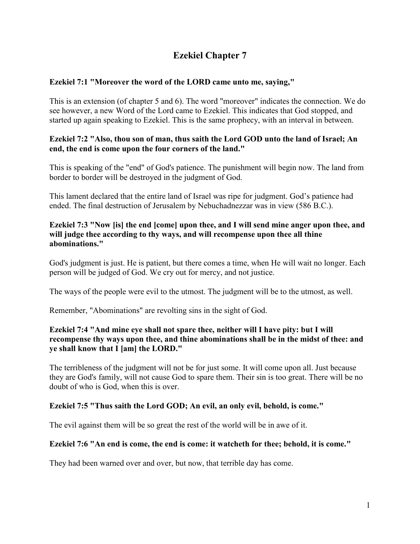# **Ezekiel Chapter 7**

## **Ezekiel 7:1 "Moreover the word of the LORD came unto me, saying,"**

This is an extension (of chapter 5 and 6). The word "moreover" indicates the connection. We do see however, a new Word of the Lord came to Ezekiel. This indicates that God stopped, and started up again speaking to Ezekiel. This is the same prophecy, with an interval in between.

## **Ezekiel 7:2 "Also, thou son of man, thus saith the Lord GOD unto the land of Israel; An end, the end is come upon the four corners of the land."**

This is speaking of the "end" of God's patience. The punishment will begin now. The land from border to border will be destroyed in the judgment of God.

This lament declared that the entire land of Israel was ripe for judgment. God's patience had ended. The final destruction of Jerusalem by Nebuchadnezzar was in view (586 B.C.).

#### **Ezekiel 7:3 "Now [is] the end [come] upon thee, and I will send mine anger upon thee, and will judge thee according to thy ways, and will recompense upon thee all thine abominations."**

God's judgment is just. He is patient, but there comes a time, when He will wait no longer. Each person will be judged of God. We cry out for mercy, and not justice.

The ways of the people were evil to the utmost. The judgment will be to the utmost, as well.

Remember, "Abominations" are revolting sins in the sight of God.

## **Ezekiel 7:4 "And mine eye shall not spare thee, neither will I have pity: but I will recompense thy ways upon thee, and thine abominations shall be in the midst of thee: and ye shall know that I [am] the LORD."**

The terribleness of the judgment will not be for just some. It will come upon all. Just because they are God's family, will not cause God to spare them. Their sin is too great. There will be no doubt of who is God, when this is over.

## **Ezekiel 7:5 "Thus saith the Lord GOD; An evil, an only evil, behold, is come."**

The evil against them will be so great the rest of the world will be in awe of it.

## **Ezekiel 7:6 "An end is come, the end is come: it watcheth for thee; behold, it is come."**

They had been warned over and over, but now, that terrible day has come.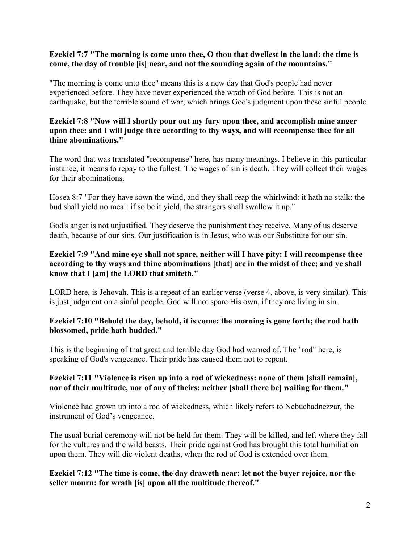#### **Ezekiel 7:7 "The morning is come unto thee, O thou that dwellest in the land: the time is come, the day of trouble [is] near, and not the sounding again of the mountains."**

"The morning is come unto thee" means this is a new day that God's people had never experienced before. They have never experienced the wrath of God before. This is not an earthquake, but the terrible sound of war, which brings God's judgment upon these sinful people.

## **Ezekiel 7:8 "Now will I shortly pour out my fury upon thee, and accomplish mine anger upon thee: and I will judge thee according to thy ways, and will recompense thee for all thine abominations."**

The word that was translated "recompense" here, has many meanings. I believe in this particular instance, it means to repay to the fullest. The wages of sin is death. They will collect their wages for their abominations.

Hosea 8:7 "For they have sown the wind, and they shall reap the whirlwind: it hath no stalk: the bud shall yield no meal: if so be it yield, the strangers shall swallow it up."

God's anger is not unjustified. They deserve the punishment they receive. Many of us deserve death, because of our sins. Our justification is in Jesus, who was our Substitute for our sin.

## **Ezekiel 7:9 "And mine eye shall not spare, neither will I have pity: I will recompense thee according to thy ways and thine abominations [that] are in the midst of thee; and ye shall know that I [am] the LORD that smiteth."**

LORD here, is Jehovah. This is a repeat of an earlier verse (verse 4, above, is very similar). This is just judgment on a sinful people. God will not spare His own, if they are living in sin.

## **Ezekiel 7:10 "Behold the day, behold, it is come: the morning is gone forth; the rod hath blossomed, pride hath budded."**

This is the beginning of that great and terrible day God had warned of. The "rod" here, is speaking of God's vengeance. Their pride has caused them not to repent.

## **Ezekiel 7:11 "Violence is risen up into a rod of wickedness: none of them [shall remain], nor of their multitude, nor of any of theirs: neither [shall there be] wailing for them."**

Violence had grown up into a rod of wickedness, which likely refers to Nebuchadnezzar, the instrument of God's vengeance.

The usual burial ceremony will not be held for them. They will be killed, and left where they fall for the vultures and the wild beasts. Their pride against God has brought this total humiliation upon them. They will die violent deaths, when the rod of God is extended over them.

#### **Ezekiel 7:12 "The time is come, the day draweth near: let not the buyer rejoice, nor the seller mourn: for wrath [is] upon all the multitude thereof."**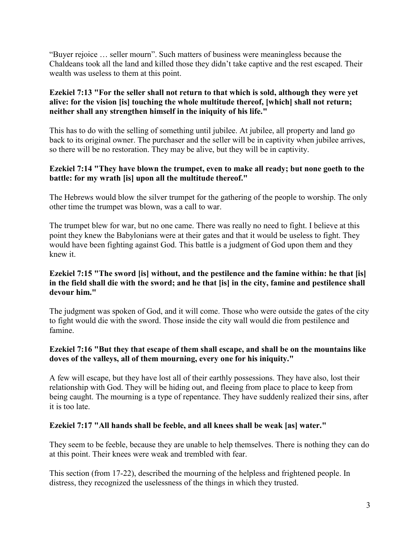"Buyer rejoice … seller mourn". Such matters of business were meaningless because the Chaldeans took all the land and killed those they didn't take captive and the rest escaped. Their wealth was useless to them at this point.

## **Ezekiel 7:13 "For the seller shall not return to that which is sold, although they were yet alive: for the vision [is] touching the whole multitude thereof, [which] shall not return; neither shall any strengthen himself in the iniquity of his life."**

This has to do with the selling of something until jubilee. At jubilee, all property and land go back to its original owner. The purchaser and the seller will be in captivity when jubilee arrives, so there will be no restoration. They may be alive, but they will be in captivity.

## **Ezekiel 7:14 "They have blown the trumpet, even to make all ready; but none goeth to the battle: for my wrath [is] upon all the multitude thereof."**

The Hebrews would blow the silver trumpet for the gathering of the people to worship. The only other time the trumpet was blown, was a call to war.

The trumpet blew for war, but no one came. There was really no need to fight. I believe at this point they knew the Babylonians were at their gates and that it would be useless to fight. They would have been fighting against God. This battle is a judgment of God upon them and they knew it.

## **Ezekiel 7:15 "The sword [is] without, and the pestilence and the famine within: he that [is] in the field shall die with the sword; and he that [is] in the city, famine and pestilence shall devour him."**

The judgment was spoken of God, and it will come. Those who were outside the gates of the city to fight would die with the sword. Those inside the city wall would die from pestilence and famine.

## **Ezekiel 7:16 "But they that escape of them shall escape, and shall be on the mountains like doves of the valleys, all of them mourning, every one for his iniquity."**

A few will escape, but they have lost all of their earthly possessions. They have also, lost their relationship with God. They will be hiding out, and fleeing from place to place to keep from being caught. The mourning is a type of repentance. They have suddenly realized their sins, after it is too late.

## **Ezekiel 7:17 "All hands shall be feeble, and all knees shall be weak [as] water."**

They seem to be feeble, because they are unable to help themselves. There is nothing they can do at this point. Their knees were weak and trembled with fear.

This section (from 17-22), described the mourning of the helpless and frightened people. In distress, they recognized the uselessness of the things in which they trusted.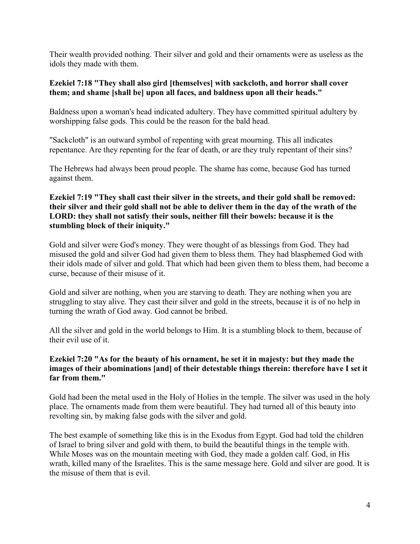Their wealth provided nothing. Their silver and gold and their ornaments were as useless as the idols they made with them.

#### **Ezekiel 7:18 "They shall also gird [themselves] with sackcloth, and horror shall cover them; and shame [shall be] upon all faces, and baldness upon all their heads."**

Baldness upon a woman's head indicated adultery. They have committed spiritual adultery by worshipping false gods. This could be the reason for the bald head.

"Sackcloth" is an outward symbol of repenting with great mourning. This all indicates repentance. Are they repenting for the fear of death, or are they truly repentant of their sins?

The Hebrews had always been proud people. The shame has come, because God has turned against them.

## **Ezekiel 7:19 "They shall cast their silver in the streets, and their gold shall be removed: their silver and their gold shall not be able to deliver them in the day of the wrath of the LORD: they shall not satisfy their souls, neither fill their bowels: because it is the stumbling block of their iniquity."**

Gold and silver were God's money. They were thought of as blessings from God. They had misused the gold and silver God had given them to bless them. They had blasphemed God with their idols made of silver and gold. That which had been given them to bless them, had become a curse, because of their misuse of it.

Gold and silver are nothing, when you are starving to death. They are nothing when you are struggling to stay alive. They cast their silver and gold in the streets, because it is of no help in turning the wrath of God away. God cannot be bribed.

All the silver and gold in the world belongs to Him. It is a stumbling block to them, because of their evil use of it.

## **Ezekiel 7:20 "As for the beauty of his ornament, he set it in majesty: but they made the images of their abominations [and] of their detestable things therein: therefore have I set it far from them."**

Gold had been the metal used in the Holy of Holies in the temple. The silver was used in the holy place. The ornaments made from them were beautiful. They had turned all of this beauty into revolting sin, by making false gods with the silver and gold.

The best example of something like this is in the Exodus from Egypt. God had told the children of Israel to bring silver and gold with them, to build the beautiful things in the temple with. While Moses was on the mountain meeting with God, they made a golden calf. God, in His wrath, killed many of the Israelites. This is the same message here. Gold and silver are good. It is the misuse of them that is evil.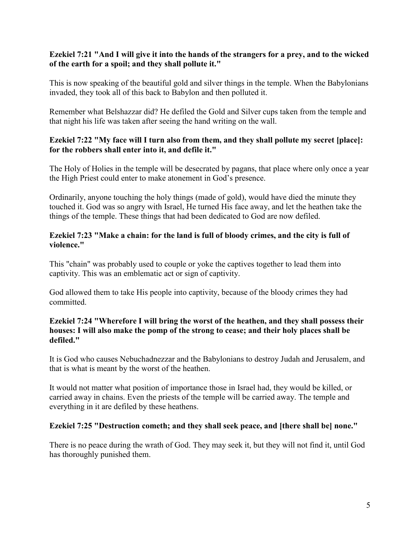## **Ezekiel 7:21 "And I will give it into the hands of the strangers for a prey, and to the wicked of the earth for a spoil; and they shall pollute it."**

This is now speaking of the beautiful gold and silver things in the temple. When the Babylonians invaded, they took all of this back to Babylon and then polluted it.

Remember what Belshazzar did? He defiled the Gold and Silver cups taken from the temple and that night his life was taken after seeing the hand writing on the wall.

## **Ezekiel 7:22 "My face will I turn also from them, and they shall pollute my secret [place]: for the robbers shall enter into it, and defile it."**

The Holy of Holies in the temple will be desecrated by pagans, that place where only once a year the High Priest could enter to make atonement in God's presence.

Ordinarily, anyone touching the holy things (made of gold), would have died the minute they touched it. God was so angry with Israel, He turned His face away, and let the heathen take the things of the temple. These things that had been dedicated to God are now defiled.

## **Ezekiel 7:23 "Make a chain: for the land is full of bloody crimes, and the city is full of violence."**

This "chain" was probably used to couple or yoke the captives together to lead them into captivity. This was an emblematic act or sign of captivity.

God allowed them to take His people into captivity, because of the bloody crimes they had committed.

#### **Ezekiel 7:24 "Wherefore I will bring the worst of the heathen, and they shall possess their houses: I will also make the pomp of the strong to cease; and their holy places shall be defiled."**

It is God who causes Nebuchadnezzar and the Babylonians to destroy Judah and Jerusalem, and that is what is meant by the worst of the heathen.

It would not matter what position of importance those in Israel had, they would be killed, or carried away in chains. Even the priests of the temple will be carried away. The temple and everything in it are defiled by these heathens.

## **Ezekiel 7:25 "Destruction cometh; and they shall seek peace, and [there shall be] none."**

There is no peace during the wrath of God. They may seek it, but they will not find it, until God has thoroughly punished them.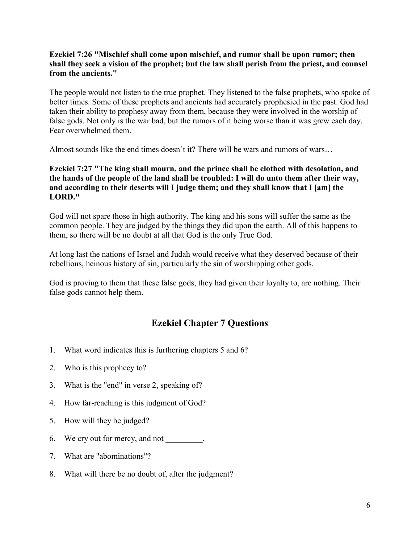## **Ezekiel 7:26 "Mischief shall come upon mischief, and rumor shall be upon rumor; then shall they seek a vision of the prophet; but the law shall perish from the priest, and counsel from the ancients."**

The people would not listen to the true prophet. They listened to the false prophets, who spoke of better times. Some of these prophets and ancients had accurately prophesied in the past. God had taken their ability to prophesy away from them, because they were involved in the worship of false gods. Not only is the war bad, but the rumors of it being worse than it was grew each day. Fear overwhelmed them.

Almost sounds like the end times doesn't it? There will be wars and rumors of wars…

#### **Ezekiel 7:27 "The king shall mourn, and the prince shall be clothed with desolation, and the hands of the people of the land shall be troubled: I will do unto them after their way, and according to their deserts will I judge them; and they shall know that I [am] the LORD."**

God will not spare those in high authority. The king and his sons will suffer the same as the common people. They are judged by the things they did upon the earth. All of this happens to them, so there will be no doubt at all that God is the only True God.

At long last the nations of Israel and Judah would receive what they deserved because of their rebellious, heinous history of sin, particularly the sin of worshipping other gods.

God is proving to them that these false gods, they had given their loyalty to, are nothing. Their false gods cannot help them.

## **Ezekiel Chapter 7 Questions**

- 1. What word indicates this is furthering chapters 5 and 6?
- 2. Who is this prophecy to?
- 3. What is the "end" in verse 2, speaking of?
- 4. How far-reaching is this judgment of God?
- 5. How will they be judged?
- 6. We cry out for mercy, and not
- 7. What are "abominations"?
- 8. What will there be no doubt of, after the judgment?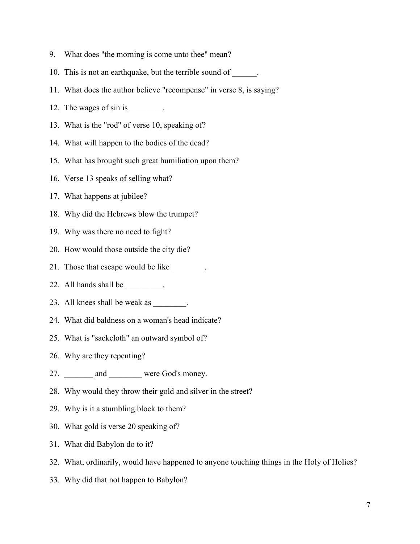- 9. What does "the morning is come unto thee" mean?
- 10. This is not an earthquake, but the terrible sound of \_\_\_\_\_\_.
- 11. What does the author believe "recompense" in verse 8, is saying?
- 12. The wages of sin is \_\_\_\_\_\_\_.
- 13. What is the "rod" of verse 10, speaking of?
- 14. What will happen to the bodies of the dead?
- 15. What has brought such great humiliation upon them?
- 16. Verse 13 speaks of selling what?
- 17. What happens at jubilee?
- 18. Why did the Hebrews blow the trumpet?
- 19. Why was there no need to fight?
- 20. How would those outside the city die?
- 21. Those that escape would be like \_\_\_\_\_\_\_.
- 22. All hands shall be \_\_\_\_\_\_\_\_.
- 23. All knees shall be weak as \_\_\_\_\_\_\_.
- 24. What did baldness on a woman's head indicate?
- 25. What is "sackcloth" an outward symbol of?
- 26. Why are they repenting?
- 27. \_\_\_\_\_\_\_\_ and \_\_\_\_\_\_\_\_ were God's money.
- 28. Why would they throw their gold and silver in the street?
- 29. Why is it a stumbling block to them?
- 30. What gold is verse 20 speaking of?
- 31. What did Babylon do to it?
- 32. What, ordinarily, would have happened to anyone touching things in the Holy of Holies?
- 33. Why did that not happen to Babylon?